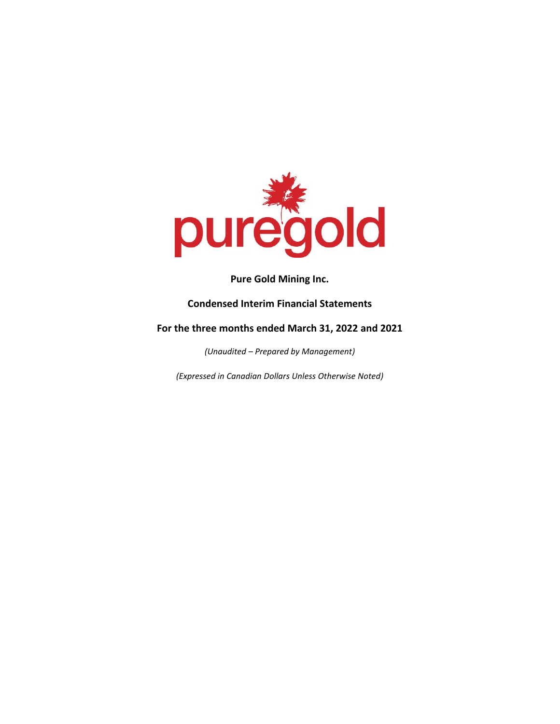

## **Condensed Interim Financial Statements**

## **For the three months ended March 31, 2022 and 2021**

*(Unaudited – Prepared by Management)*

*(Expressed in Canadian Dollars Unless Otherwise Noted)*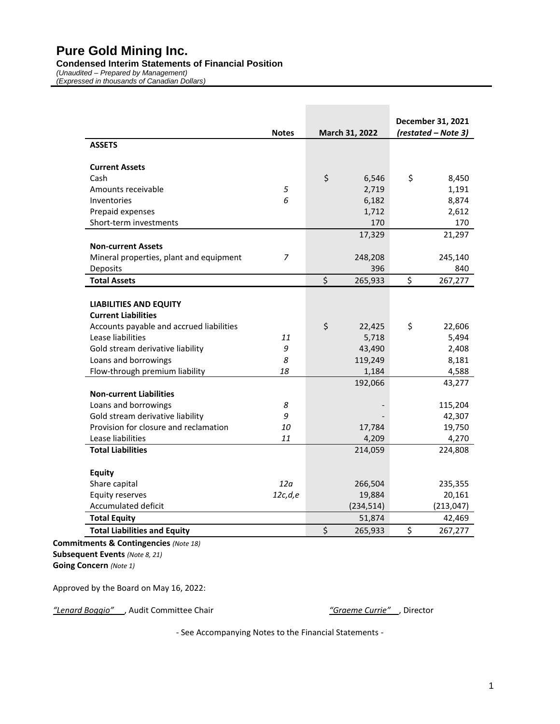#### **Condensed Interim Statements of Financial Position**

*(Unaudited – Prepared by Management) (Expressed in thousands of Canadian Dollars)*

|                                          |              |                |            | December 31, 2021   |
|------------------------------------------|--------------|----------------|------------|---------------------|
|                                          | <b>Notes</b> | March 31, 2022 |            | (restated - Note 3) |
| <b>ASSETS</b>                            |              |                |            |                     |
|                                          |              |                |            |                     |
| <b>Current Assets</b>                    |              |                |            |                     |
| Cash                                     |              | \$             | 6,546      | \$<br>8,450         |
| Amounts receivable                       | 5            |                | 2,719      | 1,191               |
| Inventories                              | 6            |                | 6,182      | 8,874               |
| Prepaid expenses                         |              |                | 1,712      | 2,612               |
| Short-term investments                   |              |                | 170        | 170                 |
|                                          |              |                | 17,329     | 21,297              |
| <b>Non-current Assets</b>                |              |                |            |                     |
| Mineral properties, plant and equipment  | 7            |                | 248,208    | 245,140             |
| Deposits                                 |              |                | 396        | 840                 |
| <b>Total Assets</b>                      |              | \$             | 265,933    | \$<br>267,277       |
|                                          |              |                |            |                     |
| <b>LIABILITIES AND EQUITY</b>            |              |                |            |                     |
| <b>Current Liabilities</b>               |              |                |            |                     |
| Accounts payable and accrued liabilities |              | \$             | 22,425     | \$<br>22,606        |
| Lease liabilities                        | 11           |                | 5,718      | 5,494               |
| Gold stream derivative liability         | 9            |                | 43,490     | 2,408               |
| Loans and borrowings                     | 8            |                | 119,249    | 8,181               |
| Flow-through premium liability           | 18           |                | 1,184      | 4,588               |
|                                          |              |                | 192,066    | 43,277              |
| <b>Non-current Liabilities</b>           |              |                |            |                     |
| Loans and borrowings                     | 8            |                |            | 115,204             |
| Gold stream derivative liability         | 9            |                |            | 42,307              |
| Provision for closure and reclamation    | 10           |                | 17,784     | 19,750              |
| Lease liabilities                        | 11           |                | 4,209      | 4,270               |
| <b>Total Liabilities</b>                 |              |                | 214,059    | 224,808             |
|                                          |              |                |            |                     |
| <b>Equity</b>                            |              |                |            |                     |
| Share capital                            | 12a          |                | 266,504    | 235,355             |
| <b>Equity reserves</b>                   | 12c,d,e      |                | 19,884     | 20,161              |
| <b>Accumulated deficit</b>               |              |                | (234, 514) | (213, 047)          |
| <b>Total Equity</b>                      |              |                | 51,874     | 42,469              |
| <b>Total Liabilities and Equity</b>      |              | \$             | 265,933    | \$<br>267,277       |

**Commitments & Contingencies** *(Note 18)* **Subsequent Events** *(Note 8, 21)* **Going Concern** *(Note 1)*

Approved by the Board on May 16, 2022:

*"Lenard Boggio"* , Audit Committee Chair *"Graeme Currie"* , Director

- See Accompanying Notes to the Financial Statements -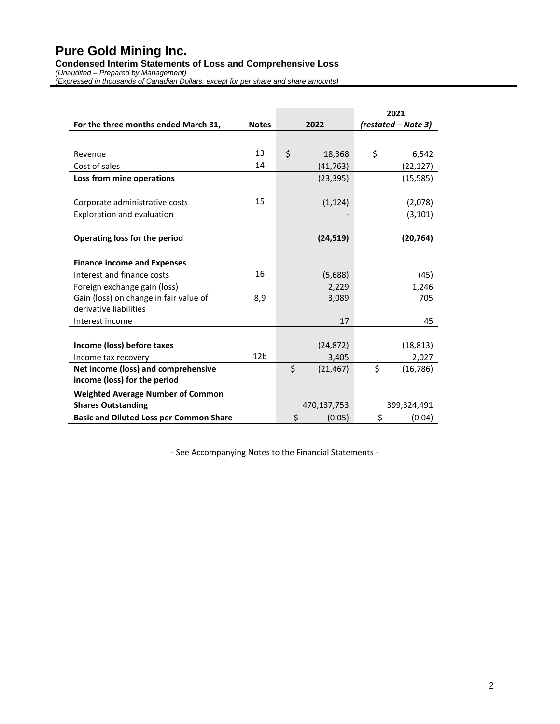**Condensed Interim Statements of Loss and Comprehensive Loss**

*(Unaudited – Prepared by Management)*

*(Expressed in thousands of Canadian Dollars, except for per share and share amounts)*

|                                                |                 |                 | 2021                |
|------------------------------------------------|-----------------|-----------------|---------------------|
| For the three months ended March 31,           | <b>Notes</b>    | 2022            | (restated – Note 3) |
|                                                |                 |                 |                     |
| Revenue                                        | 13              | \$<br>18,368    | \$<br>6,542         |
| Cost of sales                                  | 14              | (41, 763)       | (22, 127)           |
| Loss from mine operations                      |                 | (23, 395)       | (15, 585)           |
|                                                |                 |                 |                     |
| Corporate administrative costs                 | 15              | (1, 124)        | (2,078)             |
| Exploration and evaluation                     |                 |                 | (3, 101)            |
|                                                |                 |                 |                     |
| Operating loss for the period                  |                 | (24, 519)       | (20, 764)           |
|                                                |                 |                 |                     |
| <b>Finance income and Expenses</b>             |                 |                 |                     |
| Interest and finance costs                     | 16              | (5,688)         | (45)                |
| Foreign exchange gain (loss)                   |                 | 2,229           | 1,246               |
| Gain (loss) on change in fair value of         | 8,9             | 3,089           | 705                 |
| derivative liabilities                         |                 |                 |                     |
| Interest income                                |                 | 17              | 45                  |
|                                                |                 |                 |                     |
| Income (loss) before taxes                     |                 | (24, 872)       | (18, 813)           |
| Income tax recovery                            | 12 <sub>b</sub> | 3,405           | 2,027               |
| Net income (loss) and comprehensive            |                 | \$<br>(21, 467) | \$<br>(16, 786)     |
| income (loss) for the period                   |                 |                 |                     |
| <b>Weighted Average Number of Common</b>       |                 |                 |                     |
| <b>Shares Outstanding</b>                      |                 | 470,137,753     | 399,324,491         |
| <b>Basic and Diluted Loss per Common Share</b> |                 | \$<br>(0.05)    | \$<br>(0.04)        |

- See Accompanying Notes to the Financial Statements -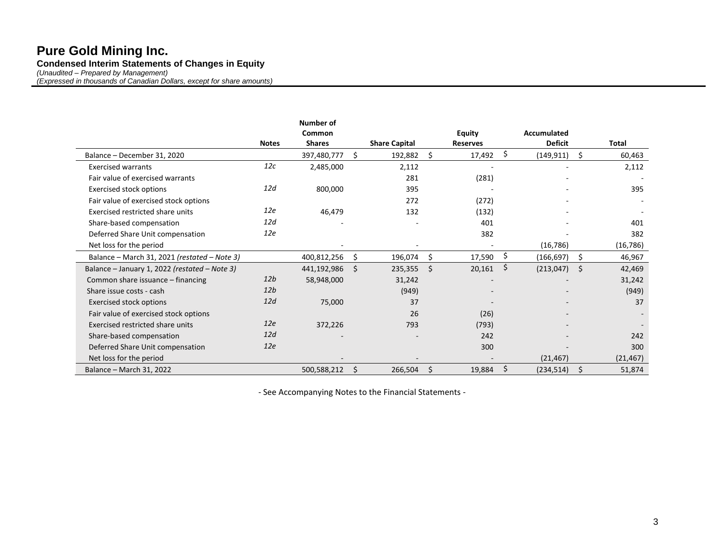## **Pure Gold Mining Inc. Condensed Interim Statements of Changes in Equity**

*(Unaudited – Prepared by Management)*

*(Expressed in thousands of Canadian Dollars, except for share amounts)*

|                                               |              | Number of     |    |                      |     |                 |                  |     |           |
|-----------------------------------------------|--------------|---------------|----|----------------------|-----|-----------------|------------------|-----|-----------|
|                                               |              | Common        |    |                      |     | <b>Equity</b>   | Accumulated      |     |           |
|                                               | <b>Notes</b> | <b>Shares</b> |    | <b>Share Capital</b> |     | <b>Reserves</b> | <b>Deficit</b>   |     | Total     |
| Balance - December 31, 2020                   |              | 397,480,777   | Ŝ. | 192,882              | Ś.  | 17,492          | \$<br>(149, 911) | Ś.  | 60,463    |
| <b>Exercised warrants</b>                     | 12c          | 2,485,000     |    | 2,112                |     |                 |                  |     | 2,112     |
| Fair value of exercised warrants              |              |               |    | 281                  |     | (281)           |                  |     |           |
| <b>Exercised stock options</b>                | 12d          | 800,000       |    | 395                  |     |                 |                  |     | 395       |
| Fair value of exercised stock options         |              |               |    | 272                  |     | (272)           |                  |     |           |
| Exercised restricted share units              | 12e          | 46,479        |    | 132                  |     | (132)           |                  |     |           |
| Share-based compensation                      | 12d          |               |    |                      |     | 401             |                  |     | 401       |
| Deferred Share Unit compensation              | 12e          |               |    |                      |     | 382             |                  |     | 382       |
| Net loss for the period                       |              |               |    |                      |     |                 | (16, 786)        |     | (16,786)  |
| Balance - March 31, 2021 (restated - Note 3)  |              | 400,812,256   | S  | 196,074              | \$. | 17,590          | \$<br>(166, 697) | Ŝ.  | 46,967    |
| Balance - January 1, 2022 (restated - Note 3) |              | 441,192,986   | -Ś | 235,355              | \$  | 20,161          | \$<br>(213, 047) | \$. | 42,469    |
| Common share issuance - financing             | 12b          | 58,948,000    |    | 31,242               |     |                 |                  |     | 31,242    |
| Share issue costs - cash                      | 12b          |               |    | (949)                |     |                 |                  |     | (949)     |
| <b>Exercised stock options</b>                | 12d          | 75,000        |    | 37                   |     |                 |                  |     | 37        |
| Fair value of exercised stock options         |              |               |    | 26                   |     | (26)            |                  |     |           |
| Exercised restricted share units              | 12e          | 372,226       |    | 793                  |     | (793)           |                  |     |           |
| Share-based compensation                      | 12d          |               |    |                      |     | 242             |                  |     | 242       |
| Deferred Share Unit compensation              | 12e          |               |    |                      |     | 300             |                  |     | 300       |
| Net loss for the period                       |              |               |    |                      |     |                 | (21, 467)        |     | (21, 467) |
| Balance - March 31, 2022                      |              | 500,588,212   | -S | 266,504              | \$  | 19,884          | \$<br>(234, 514) | \$  | 51,874    |

- See Accompanying Notes to the Financial Statements -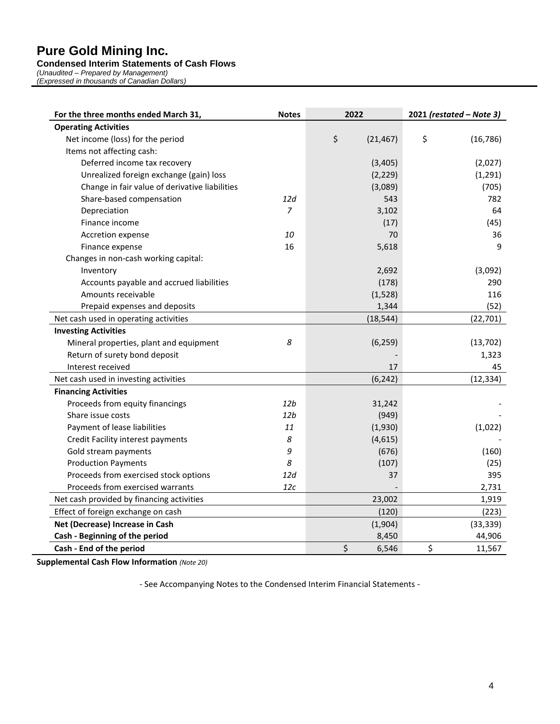#### **Condensed Interim Statements of Cash Flows**

*(Unaudited – Prepared by Management) (Expressed in thousands of Canadian Dollars)*

| For the three months ended March 31,           | <b>Notes</b>    | 2022            | 2021 (restated - Note 3) |
|------------------------------------------------|-----------------|-----------------|--------------------------|
| <b>Operating Activities</b>                    |                 |                 |                          |
| Net income (loss) for the period               |                 | \$<br>(21, 467) | \$<br>(16, 786)          |
| Items not affecting cash:                      |                 |                 |                          |
| Deferred income tax recovery                   |                 | (3,405)         | (2,027)                  |
| Unrealized foreign exchange (gain) loss        |                 | (2, 229)        | (1, 291)                 |
| Change in fair value of derivative liabilities |                 | (3,089)         | (705)                    |
| Share-based compensation                       | 12d             | 543             | 782                      |
| Depreciation                                   | $\overline{7}$  | 3,102           | 64                       |
| Finance income                                 |                 | (17)            | (45)                     |
| Accretion expense                              | 10              | 70              | 36                       |
| Finance expense                                | 16              | 5,618           | 9                        |
| Changes in non-cash working capital:           |                 |                 |                          |
| Inventory                                      |                 | 2,692           | (3,092)                  |
| Accounts payable and accrued liabilities       |                 | (178)           | 290                      |
| Amounts receivable                             |                 | (1,528)         | 116                      |
| Prepaid expenses and deposits                  |                 | 1,344           | (52)                     |
| Net cash used in operating activities          |                 | (18, 544)       | (22, 701)                |
| <b>Investing Activities</b>                    |                 |                 |                          |
| Mineral properties, plant and equipment        | 8               | (6, 259)        | (13, 702)                |
| Return of surety bond deposit                  |                 |                 | 1,323                    |
| Interest received                              |                 | 17              | 45                       |
| Net cash used in investing activities          |                 | (6, 242)        | (12, 334)                |
| <b>Financing Activities</b>                    |                 |                 |                          |
| Proceeds from equity financings                | 12 <sub>b</sub> | 31,242          |                          |
| Share issue costs                              | 12 <sub>b</sub> | (949)           |                          |
| Payment of lease liabilities                   | 11              | (1,930)         | (1,022)                  |
| Credit Facility interest payments              | 8               | (4,615)         |                          |
| Gold stream payments                           | 9               | (676)           | (160)                    |
| <b>Production Payments</b>                     | 8               | (107)           | (25)                     |
| Proceeds from exercised stock options          | 12d             | 37              | 395                      |
| Proceeds from exercised warrants               | 12c             |                 | 2,731                    |
| Net cash provided by financing activities      |                 | 23,002          | 1,919                    |
| Effect of foreign exchange on cash             |                 | (120)           | (223)                    |
| Net (Decrease) Increase in Cash                |                 | (1,904)         | (33, 339)                |
| Cash - Beginning of the period                 |                 | 8,450           | 44,906                   |
| Cash - End of the period                       |                 | \$<br>6,546     | \$<br>11,567             |

**Supplemental Cash Flow Information** *(Note 20)*

- See Accompanying Notes to the Condensed Interim Financial Statements -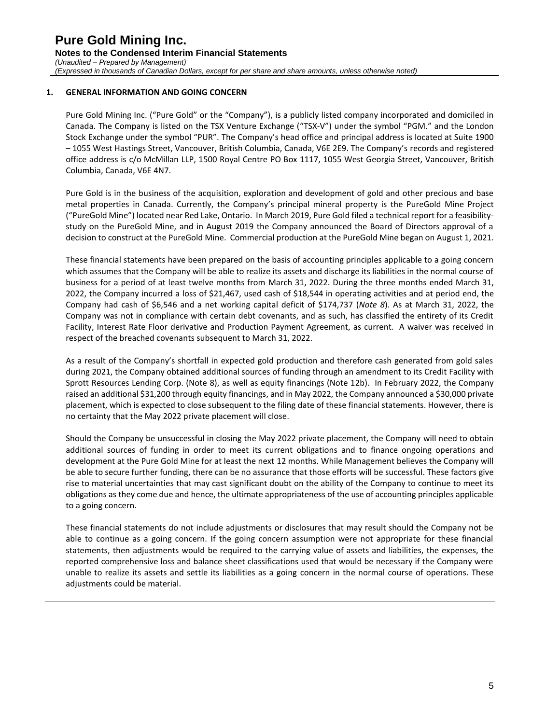#### **1. GENERAL INFORMATION AND GOING CONCERN**

Pure Gold Mining Inc. ("Pure Gold" or the "Company"), is a publicly listed company incorporated and domiciled in Canada. The Company is listed on the TSX Venture Exchange ("TSX-V") under the symbol "PGM." and the London Stock Exchange under the symbol "PUR". The Company's head office and principal address is located at Suite 1900 – 1055 West Hastings Street, Vancouver, British Columbia, Canada, V6E 2E9. The Company's records and registered office address is c/o McMillan LLP, 1500 Royal Centre PO Box 1117, 1055 West Georgia Street, Vancouver, British Columbia, Canada, V6E 4N7.

Pure Gold is in the business of the acquisition, exploration and development of gold and other precious and base metal properties in Canada. Currently, the Company's principal mineral property is the PureGold Mine Project ("PureGold Mine") located near Red Lake, Ontario. In March 2019, Pure Gold filed a technical report for a feasibility‐ study on the PureGold Mine, and in August 2019 the Company announced the Board of Directors approval of a decision to construct at the PureGold Mine. Commercial production at the PureGold Mine began on August 1, 2021.

These financial statements have been prepared on the basis of accounting principles applicable to a going concern which assumes that the Company will be able to realize its assets and discharge its liabilities in the normal course of business for a period of at least twelve months from March 31, 2022. During the three months ended March 31, 2022, the Company incurred a loss of \$21,467, used cash of \$18,544 in operating activities and at period end, the Company had cash of \$6,546 and a net working capital deficit of \$174,737 (*Note 8*). As at March 31, 2022, the Company was not in compliance with certain debt covenants, and as such, has classified the entirety of its Credit Facility, Interest Rate Floor derivative and Production Payment Agreement, as current. A waiver was received in respect of the breached covenants subsequent to March 31, 2022.

As a result of the Company's shortfall in expected gold production and therefore cash generated from gold sales during 2021, the Company obtained additional sources of funding through an amendment to its Credit Facility with Sprott Resources Lending Corp. (Note 8), as well as equity financings (Note 12b). In February 2022, the Company raised an additional \$31,200 through equity financings, and in May 2022, the Company announced a \$30,000 private placement, which is expected to close subsequent to the filing date of these financial statements. However, there is no certainty that the May 2022 private placement will close.

Should the Company be unsuccessful in closing the May 2022 private placement, the Company will need to obtain additional sources of funding in order to meet its current obligations and to finance ongoing operations and development at the Pure Gold Mine for at least the next 12 months. While Management believes the Company will be able to secure further funding, there can be no assurance that those efforts will be successful. These factors give rise to material uncertainties that may cast significant doubt on the ability of the Company to continue to meet its obligations as they come due and hence, the ultimate appropriateness of the use of accounting principles applicable to a going concern.

These financial statements do not include adjustments or disclosures that may result should the Company not be able to continue as a going concern. If the going concern assumption were not appropriate for these financial statements, then adjustments would be required to the carrying value of assets and liabilities, the expenses, the reported comprehensive loss and balance sheet classifications used that would be necessary if the Company were unable to realize its assets and settle its liabilities as a going concern in the normal course of operations. These adjustments could be material.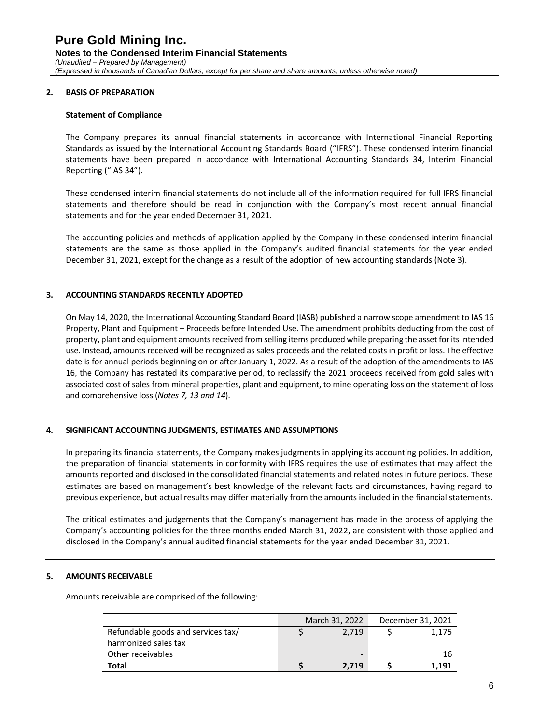#### **2. BASIS OF PREPARATION**

#### **Statement of Compliance**

The Company prepares its annual financial statements in accordance with International Financial Reporting Standards as issued by the International Accounting Standards Board ("IFRS"). These condensed interim financial statements have been prepared in accordance with International Accounting Standards 34, Interim Financial Reporting ("IAS 34").

These condensed interim financial statements do not include all of the information required for full IFRS financial statements and therefore should be read in conjunction with the Company's most recent annual financial statements and for the year ended December 31, 2021.

The accounting policies and methods of application applied by the Company in these condensed interim financial statements are the same as those applied in the Company's audited financial statements for the year ended December 31, 2021, except for the change as a result of the adoption of new accounting standards (Note 3).

#### **3. ACCOUNTING STANDARDS RECENTLY ADOPTED**

On May 14, 2020, the International Accounting Standard Board (IASB) published a narrow scope amendment to IAS 16 Property, Plant and Equipment – Proceeds before Intended Use. The amendment prohibits deducting from the cost of property, plant and equipment amounts received from selling items produced while preparing the asset for its intended use. Instead, amounts received will be recognized as sales proceeds and the related costs in profit or loss. The effective date is for annual periods beginning on or after January 1, 2022. As a result of the adoption of the amendments to IAS 16, the Company has restated its comparative period, to reclassify the 2021 proceeds received from gold sales with associated cost of sales from mineral properties, plant and equipment, to mine operating loss on the statement of loss and comprehensive loss (*Notes 7, 13 and 14*).

#### **4. SIGNIFICANT ACCOUNTING JUDGMENTS, ESTIMATES AND ASSUMPTIONS**

In preparing its financial statements, the Company makes judgments in applying its accounting policies. In addition, the preparation of financial statements in conformity with IFRS requires the use of estimates that may affect the amounts reported and disclosed in the consolidated financial statements and related notes in future periods. These estimates are based on management's best knowledge of the relevant facts and circumstances, having regard to previous experience, but actual results may differ materially from the amounts included in the financial statements.

The critical estimates and judgements that the Company's management has made in the process of applying the Company's accounting policies for the three months ended March 31, 2022, are consistent with those applied and disclosed in the Company's annual audited financial statements for the year ended December 31, 2021.

#### **5. AMOUNTS RECEIVABLE**

Amounts receivable are comprised of the following:

|                                    | March 31, 2022 | December 31, 2021 |
|------------------------------------|----------------|-------------------|
| Refundable goods and services tax/ | 2.719          | 1.175             |
| harmonized sales tax               |                |                   |
| Other receivables                  | -              | 16                |
| Total                              | 2.719          | 1.191             |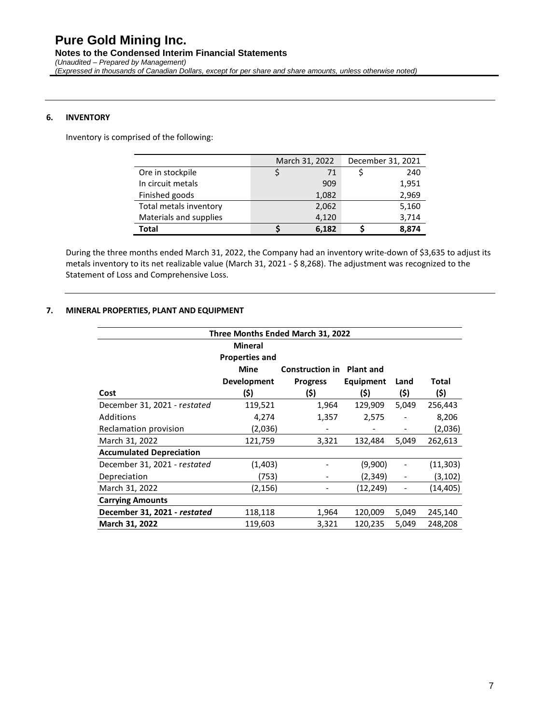### **6. INVENTORY**

Inventory is comprised of the following:

|                        | March 31, 2022 |       | December 31, 2021 |
|------------------------|----------------|-------|-------------------|
| Ore in stockpile       |                | 71    | 240               |
| In circuit metals      |                | 909   | 1,951             |
| Finished goods         |                | 1,082 | 2,969             |
| Total metals inventory |                | 2,062 | 5,160             |
| Materials and supplies |                | 4,120 | 3,714             |
| Total                  |                | 6,182 | 8,874             |

During the three months ended March 31, 2022, the Company had an inventory write-down of \$3,635 to adjust its metals inventory to its net realizable value (March 31, 2021 - \$ 8,268). The adjustment was recognized to the Statement of Loss and Comprehensive Loss.

#### **7. MINERAL PROPERTIES, PLANT AND EQUIPMENT**

| Three Months Ended March 31, 2022 |                                         |                                  |           |       |           |  |  |
|-----------------------------------|-----------------------------------------|----------------------------------|-----------|-------|-----------|--|--|
|                                   | <b>Mineral</b><br><b>Properties and</b> |                                  |           |       |           |  |  |
|                                   | Mine                                    | <b>Construction in Plant and</b> |           |       |           |  |  |
|                                   | <b>Development</b>                      | <b>Progress</b>                  | Equipment | Land  | Total     |  |  |
| Cost                              | (\$)                                    | (\$)                             | (\$)      | (\$)  | (\$)      |  |  |
| December 31, 2021 - restated      | 119,521                                 | 1,964                            | 129,909   | 5,049 | 256,443   |  |  |
| Additions                         | 4,274                                   | 1,357                            | 2,575     |       | 8,206     |  |  |
| Reclamation provision             | (2,036)                                 |                                  |           |       | (2,036)   |  |  |
| March 31, 2022                    | 121,759                                 | 3,321                            | 132,484   | 5,049 | 262,613   |  |  |
| <b>Accumulated Depreciation</b>   |                                         |                                  |           |       |           |  |  |
| December 31, 2021 - restated      | (1,403)                                 |                                  | (9,900)   |       | (11, 303) |  |  |
| Depreciation                      | (753)                                   |                                  | (2,349)   |       | (3, 102)  |  |  |
| March 31, 2022                    | (2, 156)                                |                                  | (12, 249) |       | (14, 405) |  |  |
| <b>Carrying Amounts</b>           |                                         |                                  |           |       |           |  |  |
| December 31, 2021 - restated      | 118,118                                 | 1,964                            | 120,009   | 5,049 | 245,140   |  |  |
| March 31, 2022                    | 119,603                                 | 3,321                            | 120,235   | 5,049 | 248,208   |  |  |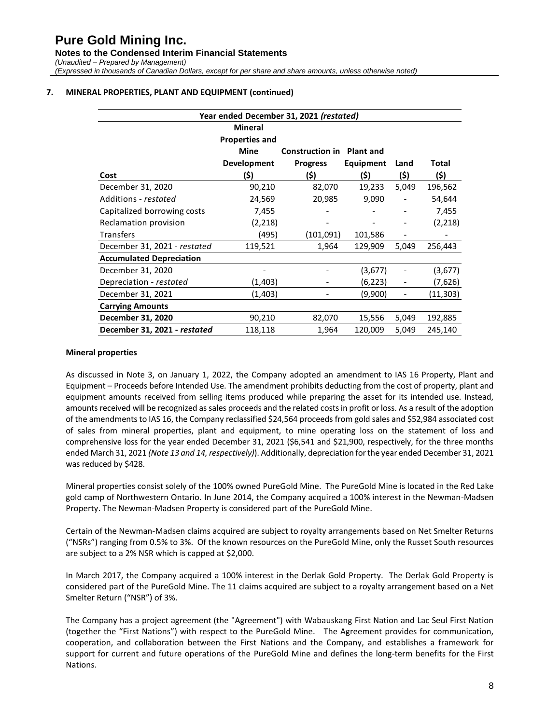## **Pure Gold Mining Inc. Notes to the Condensed Interim Financial Statements** *(Unaudited – Prepared by Management) (Expressed in thousands of Canadian Dollars, except for per share and share amounts, unless otherwise noted)*

#### **7. MINERAL PROPERTIES, PLANT AND EQUIPMENT (continued)**

| Year ended December 31, 2021 (restated) |                       |                                  |           |       |          |  |
|-----------------------------------------|-----------------------|----------------------------------|-----------|-------|----------|--|
|                                         | <b>Mineral</b>        |                                  |           |       |          |  |
|                                         | <b>Properties and</b> |                                  |           |       |          |  |
|                                         | <b>Mine</b>           | <b>Construction in Plant and</b> |           |       |          |  |
|                                         | <b>Development</b>    | <b>Progress</b>                  | Equipment | Land  | Total    |  |
| Cost                                    | (\$)                  | (\$)                             | (\$)      | (\$)  | (\$)     |  |
| December 31, 2020                       | 90,210                | 82,070                           | 19,233    | 5,049 | 196,562  |  |
| Additions - restated                    | 24,569                | 20,985                           | 9,090     |       | 54,644   |  |
| Capitalized borrowing costs             | 7,455                 |                                  |           |       | 7,455    |  |
| Reclamation provision                   | (2,218)               |                                  |           |       | (2,218)  |  |
| <b>Transfers</b>                        | (495)                 | (101,091)                        | 101,586   |       |          |  |
| December 31, 2021 - restated            | 119,521               | 1,964                            | 129,909   | 5,049 | 256,443  |  |
| <b>Accumulated Depreciation</b>         |                       |                                  |           |       |          |  |
| December 31, 2020                       |                       |                                  | (3,677)   |       | (3,677)  |  |
| Depreciation - restated                 | (1,403)               |                                  | (6,223)   |       | (7,626)  |  |
| December 31, 2021                       | (1,403)               |                                  | (9,900)   |       | (11,303) |  |
| <b>Carrying Amounts</b>                 |                       |                                  |           |       |          |  |
| December 31, 2020                       | 90,210                | 82,070                           | 15,556    | 5,049 | 192,885  |  |
| December 31, 2021 - restated            | 118,118               | 1,964                            | 120,009   | 5,049 | 245,140  |  |

#### **Mineral properties**

As discussed in Note 3, on January 1, 2022, the Company adopted an amendment to IAS 16 Property, Plant and Equipment – Proceeds before Intended Use. The amendment prohibits deducting from the cost of property, plant and equipment amounts received from selling items produced while preparing the asset for its intended use. Instead, amounts received will be recognized as sales proceeds and the related costs in profit or loss. As a result of the adoption of the amendments to IAS 16, the Company reclassified \$24,564 proceeds from gold sales and \$52,984 associated cost of sales from mineral properties, plant and equipment, to mine operating loss on the statement of loss and comprehensive loss for the year ended December 31, 2021 (\$6,541 and \$21,900, respectively, for the three months ended March 31, 2021 *(Note 13 and 14, respectively)*). Additionally, depreciation for the year ended December 31, 2021 was reduced by \$428.

Mineral properties consist solely of the 100% owned PureGold Mine. The PureGold Mine is located in the Red Lake gold camp of Northwestern Ontario. In June 2014, the Company acquired a 100% interest in the Newman-Madsen Property. The Newman-Madsen Property is considered part of the PureGold Mine.

Certain of the Newman-Madsen claims acquired are subject to royalty arrangements based on Net Smelter Returns ("NSRs") ranging from 0.5% to 3%. Of the known resources on the PureGold Mine, only the Russet South resources are subject to a 2% NSR which is capped at \$2,000.

In March 2017, the Company acquired a 100% interest in the Derlak Gold Property. The Derlak Gold Property is considered part of the PureGold Mine. The 11 claims acquired are subject to a royalty arrangement based on a Net Smelter Return ("NSR") of 3%.

The Company has a project agreement (the "Agreement") with Wabauskang First Nation and Lac Seul First Nation (together the "First Nations") with respect to the PureGold Mine. The Agreement provides for communication, cooperation, and collaboration between the First Nations and the Company, and establishes a framework for support for current and future operations of the PureGold Mine and defines the long-term benefits for the First Nations.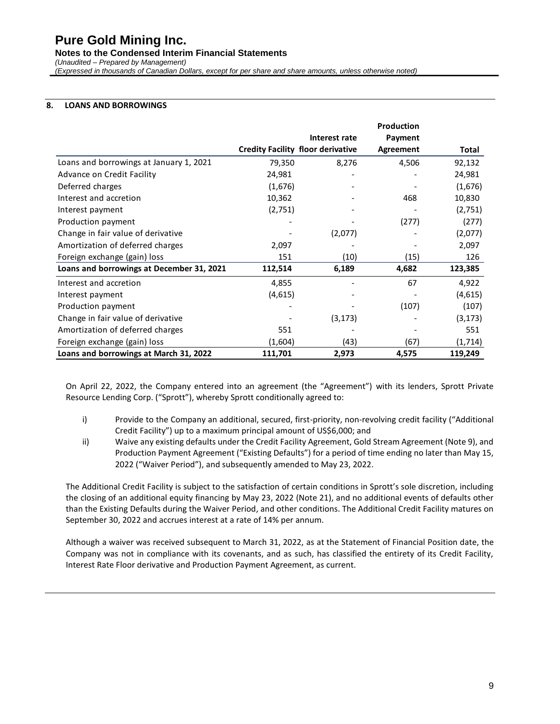**Notes to the Condensed Interim Financial Statements**

*(Unaudited – Prepared by Management)*

*(Expressed in thousands of Canadian Dollars, except for per share and share amounts, unless otherwise noted)*

## **8. LOANS AND BORROWINGS**

|                                           |         |                                          | <b>Production</b> |          |
|-------------------------------------------|---------|------------------------------------------|-------------------|----------|
|                                           |         | Interest rate                            | Payment           |          |
|                                           |         | <b>Credity Facility floor derivative</b> | Agreement         | Total    |
| Loans and borrowings at January 1, 2021   | 79,350  | 8,276                                    | 4,506             | 92,132   |
| Advance on Credit Facility                | 24,981  |                                          |                   | 24,981   |
| Deferred charges                          | (1,676) |                                          |                   | (1,676)  |
| Interest and accretion                    | 10,362  |                                          | 468               | 10,830   |
| Interest payment                          | (2,751) |                                          |                   | (2,751)  |
| Production payment                        |         |                                          | (277)             | (277)    |
| Change in fair value of derivative        |         | (2,077)                                  |                   | (2,077)  |
| Amortization of deferred charges          | 2,097   |                                          |                   | 2,097    |
| Foreign exchange (gain) loss              | 151     | (10)                                     | (15)              | 126      |
| Loans and borrowings at December 31, 2021 | 112,514 | 6,189                                    | 4,682             | 123,385  |
| Interest and accretion                    | 4,855   |                                          | 67                | 4,922    |
| Interest payment                          | (4,615) |                                          |                   | (4,615)  |
| Production payment                        |         |                                          | (107)             | (107)    |
| Change in fair value of derivative        |         | (3, 173)                                 |                   | (3, 173) |
| Amortization of deferred charges          | 551     |                                          |                   | 551      |
| Foreign exchange (gain) loss              | (1,604) | (43)                                     | (67)              | (1, 714) |
| Loans and borrowings at March 31, 2022    | 111,701 | 2,973                                    | 4,575             | 119,249  |

On April 22, 2022, the Company entered into an agreement (the "Agreement") with its lenders, Sprott Private Resource Lending Corp. ("Sprott"), whereby Sprott conditionally agreed to:

- i) Provide to the Company an additional, secured, first-priority, non-revolving credit facility ("Additional Credit Facility") up to a maximum principal amount of US\$6,000; and
- ii) Waive any existing defaults under the Credit Facility Agreement, Gold Stream Agreement (Note 9), and Production Payment Agreement ("Existing Defaults") for a period of time ending no later than May 15, 2022 ("Waiver Period"), and subsequently amended to May 23, 2022.

The Additional Credit Facility is subject to the satisfaction of certain conditions in Sprott's sole discretion, including the closing of an additional equity financing by May 23, 2022 (Note 21), and no additional events of defaults other than the Existing Defaults during the Waiver Period, and other conditions. The Additional Credit Facility matures on September 30, 2022 and accrues interest at a rate of 14% per annum.

Although a waiver was received subsequent to March 31, 2022, as at the Statement of Financial Position date, the Company was not in compliance with its covenants, and as such, has classified the entirety of its Credit Facility, Interest Rate Floor derivative and Production Payment Agreement, as current.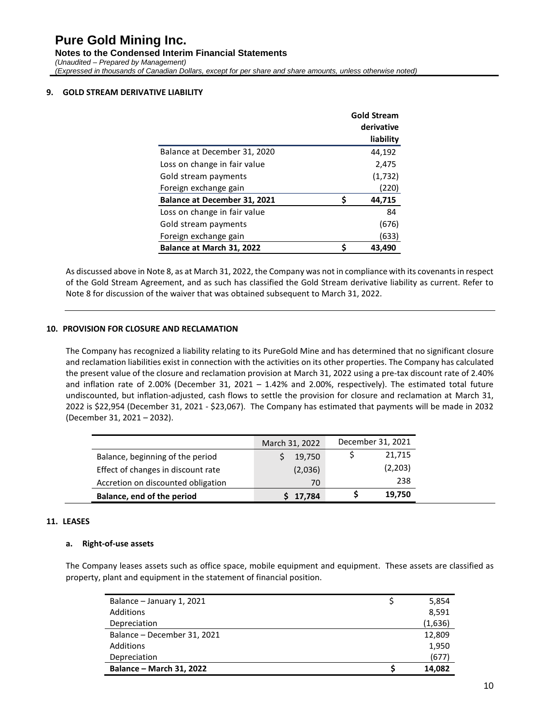#### **9. GOLD STREAM DERIVATIVE LIABILITY**

|                              |    | <b>Gold Stream</b><br>derivative |
|------------------------------|----|----------------------------------|
|                              |    | liability                        |
| Balance at December 31, 2020 |    | 44,192                           |
| Loss on change in fair value |    | 2,475                            |
| Gold stream payments         |    | (1,732)                          |
| Foreign exchange gain        |    | (220)                            |
| Balance at December 31, 2021 | Ś  | 44,715                           |
| Loss on change in fair value |    | 84                               |
| Gold stream payments         |    | (676)                            |
| Foreign exchange gain        |    | (633)                            |
| Balance at March 31, 2022    | \$ | 43,490                           |

As discussed above in Note 8, as at March 31, 2022, the Company was not in compliance with its covenants in respect of the Gold Stream Agreement, and as such has classified the Gold Stream derivative liability as current. Refer to Note 8 for discussion of the waiver that was obtained subsequent to March 31, 2022.

#### **10. PROVISION FOR CLOSURE AND RECLAMATION**

The Company has recognized a liability relating to its PureGold Mine and has determined that no significant closure and reclamation liabilities exist in connection with the activities on its other properties. The Company has calculated the present value of the closure and reclamation provision at March 31, 2022 using a pre-tax discount rate of 2.40% and inflation rate of 2.00% (December 31, 2021 – 1.42% and 2.00%, respectively). The estimated total future undiscounted, but inflation-adjusted, cash flows to settle the provision for closure and reclamation at March 31, 2022 is \$22,954 (December 31, 2021 - \$23,067). The Company has estimated that payments will be made in 2032 (December 31, 2021 – 2032).

|                                    | March 31, 2022 | December 31, 2021 |
|------------------------------------|----------------|-------------------|
| Balance, beginning of the period   | 19,750         | 21,715            |
| Effect of changes in discount rate | (2,036)        | (2,203)           |
| Accretion on discounted obligation | 70             | 238               |
| Balance, end of the period         | 17,784         | 19,750            |

#### **11. LEASES**

#### **a. Right-of-use assets**

The Company leases assets such as office space, mobile equipment and equipment. These assets are classified as property, plant and equipment in the statement of financial position.

| Balance - January 1, 2021       | 5,854   |
|---------------------------------|---------|
| Additions                       | 8,591   |
| Depreciation                    | (1,636) |
| Balance - December 31, 2021     | 12,809  |
| Additions                       | 1,950   |
| Depreciation                    | (677)   |
| <b>Balance - March 31, 2022</b> | 14,082  |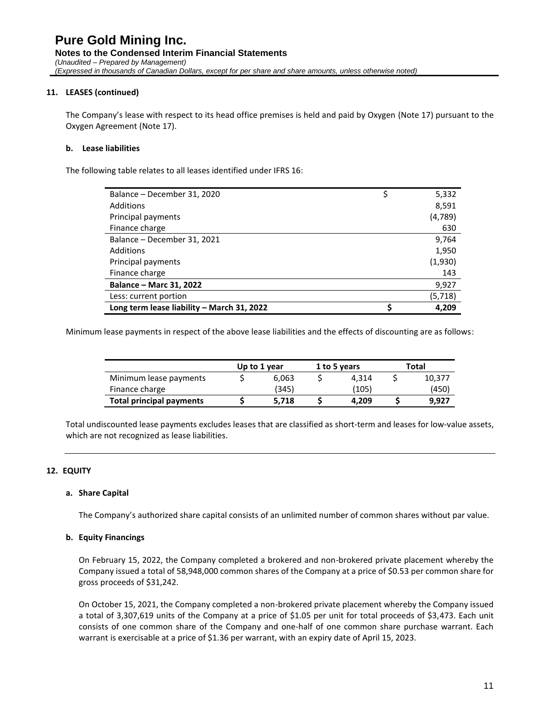#### **11. LEASES (continued)**

The Company's lease with respect to its head office premises is held and paid by Oxygen (Note 17) pursuant to the Oxygen Agreement (Note 17).

#### **b. Lease liabilities**

The following table relates to all leases identified under IFRS 16:

| Balance - December 31, 2020                | 5,332   |
|--------------------------------------------|---------|
| Additions                                  | 8,591   |
| Principal payments                         | (4,789) |
| Finance charge                             | 630     |
| Balance - December 31, 2021                | 9,764   |
| Additions                                  | 1,950   |
| Principal payments                         | (1,930) |
| Finance charge                             | 143     |
| <b>Balance - Marc 31, 2022</b>             | 9,927   |
| Less: current portion                      | (5,718) |
| Long term lease liability - March 31, 2022 | 4.209   |

Minimum lease payments in respect of the above lease liabilities and the effects of discounting are as follows:

|                                 | Up to 1 year | 1 to 5 years | Total  |
|---------------------------------|--------------|--------------|--------|
| Minimum lease payments          | 6.063        | 4.314        | 10.377 |
| Finance charge                  | (345)        | (105)        | (450)  |
| <b>Total principal payments</b> | 5.718        | 4.209        | 9.927  |

Total undiscounted lease payments excludes leases that are classified as short-term and leases for low-value assets, which are not recognized as lease liabilities.

#### **12. EQUITY**

#### **a. Share Capital**

The Company's authorized share capital consists of an unlimited number of common shares without par value.

#### **b. Equity Financings**

On February 15, 2022, the Company completed a brokered and non-brokered private placement whereby the Company issued a total of 58,948,000 common shares of the Company at a price of \$0.53 per common share for gross proceeds of \$31,242.

On October 15, 2021, the Company completed a non-brokered private placement whereby the Company issued a total of 3,307,619 units of the Company at a price of \$1.05 per unit for total proceeds of \$3,473. Each unit consists of one common share of the Company and one-half of one common share purchase warrant. Each warrant is exercisable at a price of \$1.36 per warrant, with an expiry date of April 15, 2023.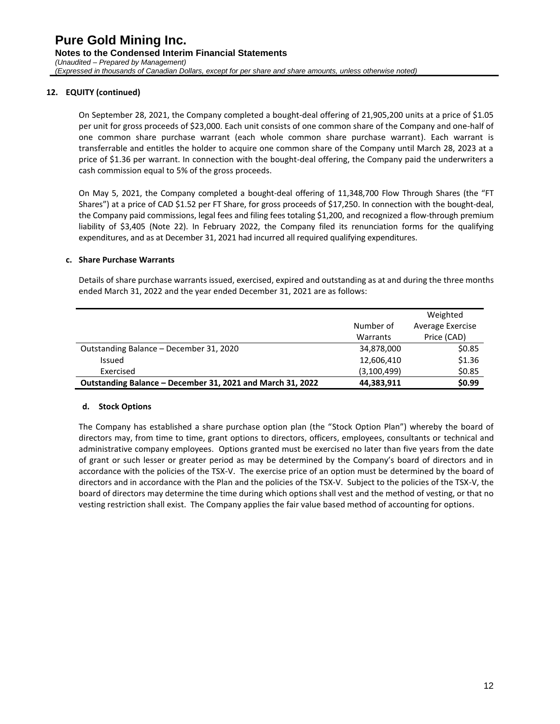On September 28, 2021, the Company completed a bought-deal offering of 21,905,200 units at a price of \$1.05 per unit for gross proceeds of \$23,000. Each unit consists of one common share of the Company and one-half of one common share purchase warrant (each whole common share purchase warrant). Each warrant is transferrable and entitles the holder to acquire one common share of the Company until March 28, 2023 at a price of \$1.36 per warrant. In connection with the bought-deal offering, the Company paid the underwriters a cash commission equal to 5% of the gross proceeds.

On May 5, 2021, the Company completed a bought-deal offering of 11,348,700 Flow Through Shares (the "FT Shares") at a price of CAD \$1.52 per FT Share, for gross proceeds of \$17,250. In connection with the bought-deal, the Company paid commissions, legal fees and filing fees totaling \$1,200, and recognized a flow-through premium liability of \$3,405 (Note 22). In February 2022, the Company filed its renunciation forms for the qualifying expenditures, and as at December 31, 2021 had incurred all required qualifying expenditures.

#### **c. Share Purchase Warrants**

Details of share purchase warrants issued, exercised, expired and outstanding as at and during the three months ended March 31, 2022 and the year ended December 31, 2021 are as follows:

|                                                            |             | Weighted         |
|------------------------------------------------------------|-------------|------------------|
|                                                            | Number of   | Average Exercise |
|                                                            | Warrants    | Price (CAD)      |
| Outstanding Balance - December 31, 2020                    | 34,878,000  | \$0.85           |
| Issued                                                     | 12,606,410  | \$1.36           |
| Exercised                                                  | (3,100,499) | \$0.85           |
| Outstanding Balance – December 31, 2021 and March 31, 2022 | 44,383,911  | \$0.99           |

#### **d. Stock Options**

The Company has established a share purchase option plan (the "Stock Option Plan") whereby the board of directors may, from time to time, grant options to directors, officers, employees, consultants or technical and administrative company employees. Options granted must be exercised no later than five years from the date of grant or such lesser or greater period as may be determined by the Company's board of directors and in accordance with the policies of the TSX-V. The exercise price of an option must be determined by the board of directors and in accordance with the Plan and the policies of the TSX-V. Subject to the policies of the TSX-V, the board of directors may determine the time during which options shall vest and the method of vesting, or that no vesting restriction shall exist. The Company applies the fair value based method of accounting for options.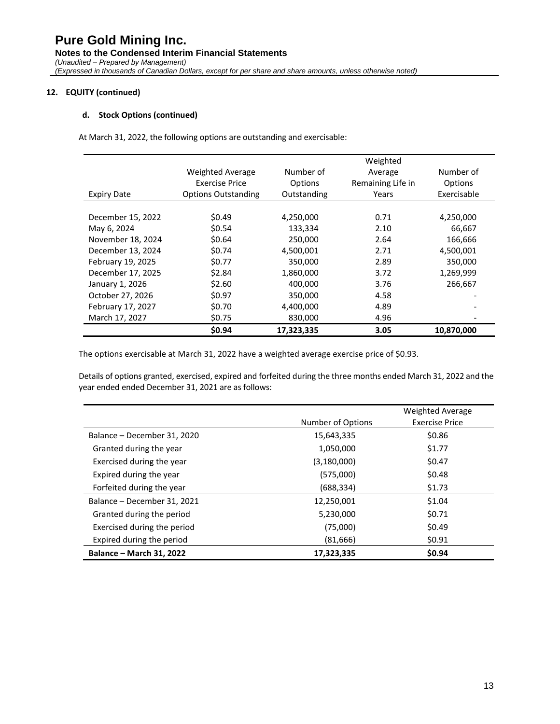#### **d. Stock Options (continued)**

At March 31, 2022, the following options are outstanding and exercisable:

|                    |                            | Weighted    |                   |             |  |  |
|--------------------|----------------------------|-------------|-------------------|-------------|--|--|
|                    | <b>Weighted Average</b>    | Number of   | Average           | Number of   |  |  |
|                    | <b>Exercise Price</b>      | Options     | Remaining Life in | Options     |  |  |
| <b>Expiry Date</b> | <b>Options Outstanding</b> | Outstanding | Years             | Exercisable |  |  |
|                    |                            |             |                   |             |  |  |
| December 15, 2022  | \$0.49                     | 4,250,000   | 0.71              | 4,250,000   |  |  |
| May 6, 2024        | \$0.54                     | 133,334     | 2.10              | 66,667      |  |  |
| November 18, 2024  | \$0.64                     | 250,000     | 2.64              | 166,666     |  |  |
| December 13, 2024  | \$0.74                     | 4,500,001   | 2.71              | 4,500,001   |  |  |
| February 19, 2025  | \$0.77                     | 350,000     | 2.89              | 350,000     |  |  |
| December 17, 2025  | \$2.84                     | 1,860,000   | 3.72              | 1,269,999   |  |  |
| January 1, 2026    | \$2.60                     | 400,000     | 3.76              | 266,667     |  |  |
| October 27, 2026   | \$0.97                     | 350,000     | 4.58              |             |  |  |
| February 17, 2027  | \$0.70                     | 4,400,000   | 4.89              |             |  |  |
| March 17, 2027     | \$0.75                     | 830,000     | 4.96              |             |  |  |
|                    | \$0.94                     | 17,323,335  | 3.05              | 10,870,000  |  |  |

The options exercisable at March 31, 2022 have a weighted average exercise price of \$0.93.

Details of options granted, exercised, expired and forfeited during the three months ended March 31, 2022 and the year ended ended December 31, 2021 are as follows:

|                                 |                   | <b>Weighted Average</b> |
|---------------------------------|-------------------|-------------------------|
|                                 | Number of Options | <b>Exercise Price</b>   |
| Balance - December 31, 2020     | 15,643,335        | \$0.86                  |
| Granted during the year         | 1,050,000         | \$1.77                  |
| Exercised during the year       | (3, 180, 000)     | \$0.47                  |
| Expired during the year         | (575,000)         | \$0.48                  |
| Forfeited during the year       | (688,334)         | \$1.73                  |
| Balance - December 31, 2021     | 12,250,001        | \$1.04                  |
| Granted during the period       | 5,230,000         | \$0.71                  |
| Exercised during the period     | (75,000)          | \$0.49                  |
| Expired during the period       | (81,666)          | \$0.91                  |
| <b>Balance - March 31, 2022</b> | 17.323.335        | \$0.94                  |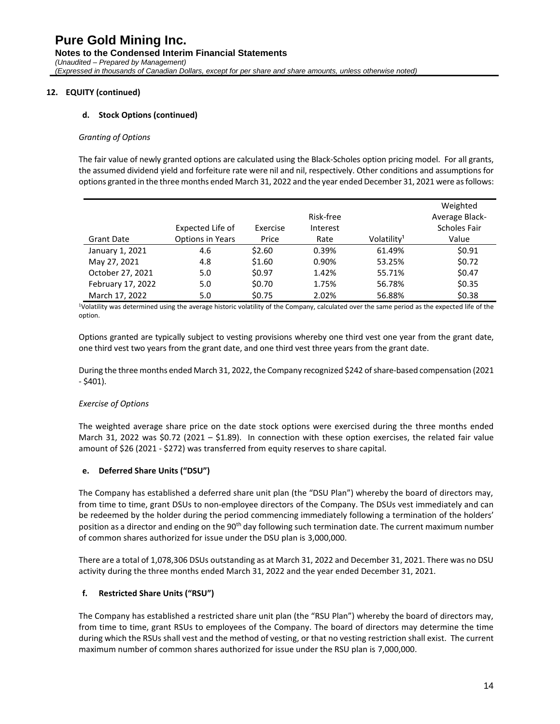#### **d. Stock Options (continued)**

#### *Granting of Options*

The fair value of newly granted options are calculated using the Black-Scholes option pricing model. For all grants, the assumed dividend yield and forfeiture rate were nil and nil, respectively. Other conditions and assumptions for options granted in the three months ended March 31, 2022 and the year ended December 31, 2021 were as follows:

|                   |                  |          |           |                         | Weighted            |
|-------------------|------------------|----------|-----------|-------------------------|---------------------|
|                   |                  |          | Risk-free |                         | Average Black-      |
|                   | Expected Life of | Exercise | Interest  |                         | <b>Scholes Fair</b> |
| <b>Grant Date</b> | Options in Years | Price    | Rate      | Volatility <sup>1</sup> | Value               |
| January 1, 2021   | 4.6              | \$2.60   | 0.39%     | 61.49%                  | \$0.91              |
| May 27, 2021      | 4.8              | \$1.60   | 0.90%     | 53.25%                  | \$0.72              |
| October 27, 2021  | 5.0              | \$0.97   | 1.42%     | 55.71%                  | \$0.47              |
| February 17, 2022 | 5.0              | \$0.70   | 1.75%     | 56.78%                  | \$0.35              |
| March 17, 2022    | 5.0              | \$0.75   | 2.02%     | 56.88%                  | \$0.38              |

<sup>1</sup>Volatility was determined using the average historic volatility of the Company, calculated over the same period as the expected life of the option.

Options granted are typically subject to vesting provisions whereby one third vest one year from the grant date, one third vest two years from the grant date, and one third vest three years from the grant date.

During the three months ended March 31, 2022, the Company recognized \$242 of share-based compensation (2021  $-$  \$401).

#### *Exercise of Options*

The weighted average share price on the date stock options were exercised during the three months ended March 31, 2022 was \$0.72 (2021 – \$1.89). In connection with these option exercises, the related fair value amount of \$26 (2021 - \$272) was transferred from equity reserves to share capital.

#### **e. Deferred Share Units ("DSU")**

The Company has established a deferred share unit plan (the "DSU Plan") whereby the board of directors may, from time to time, grant DSUs to non-employee directors of the Company. The DSUs vest immediately and can be redeemed by the holder during the period commencing immediately following a termination of the holders' position as a director and ending on the 90<sup>th</sup> day following such termination date. The current maximum number of common shares authorized for issue under the DSU plan is 3,000,000.

There are a total of 1,078,306 DSUs outstanding as at March 31, 2022 and December 31, 2021. There was no DSU activity during the three months ended March 31, 2022 and the year ended December 31, 2021.

#### **f. Restricted Share Units ("RSU")**

The Company has established a restricted share unit plan (the "RSU Plan") whereby the board of directors may, from time to time, grant RSUs to employees of the Company. The board of directors may determine the time during which the RSUs shall vest and the method of vesting, or that no vesting restriction shall exist. The current maximum number of common shares authorized for issue under the RSU plan is 7,000,000.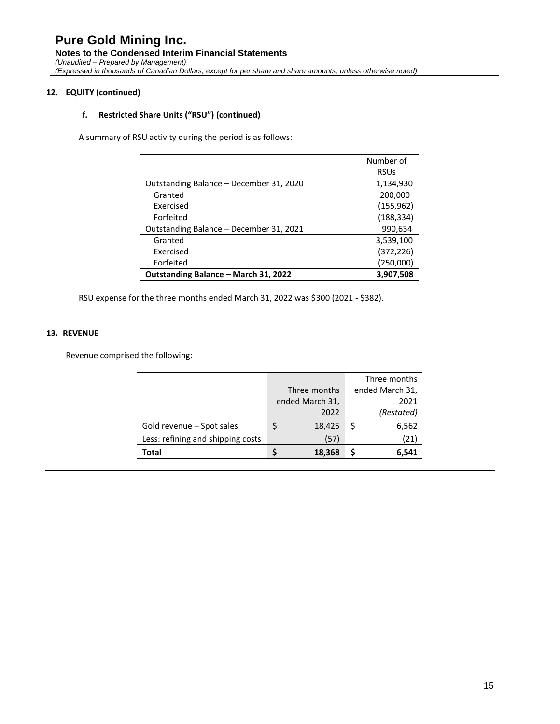#### **f. Restricted Share Units ("RSU") (continued)**

A summary of RSU activity during the period is as follows:

|                                         | Number of   |
|-----------------------------------------|-------------|
|                                         | <b>RSUs</b> |
| Outstanding Balance - December 31, 2020 | 1,134,930   |
| Granted                                 | 200,000     |
| <b>Fxercised</b>                        | (155,962)   |
| Forfeited                               | (188,334)   |
| Outstanding Balance – December 31, 2021 | 990,634     |
| Granted                                 | 3,539,100   |
| Exercised                               | (372,226)   |
| Forfeited                               | (250,000)   |
| Outstanding Balance - March 31, 2022    | 3,907,508   |

RSU expense for the three months ended March 31, 2022 was \$300 (2021 - \$382).

#### **13. REVENUE**

Revenue comprised the following:

|        |                                 | Three months    |
|--------|---------------------------------|-----------------|
|        |                                 | ended March 31, |
|        |                                 | 2021            |
| 2022   |                                 | (Restated)      |
| 18,425 | S                               | 6,562           |
| (57)   |                                 | (21)            |
| 18,368 |                                 | 6,541           |
|        | Three months<br>ended March 31, |                 |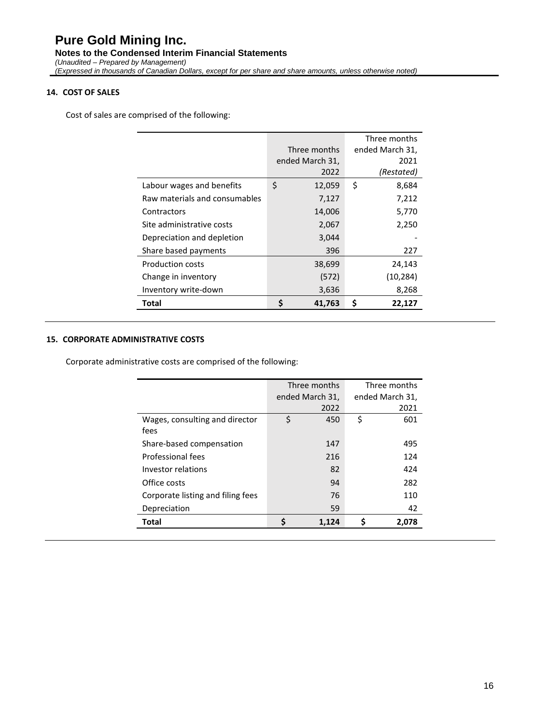#### **14. COST OF SALES**

Cost of sales are comprised of the following:

|                               |                 | Three months    |
|-------------------------------|-----------------|-----------------|
|                               | Three months    | ended March 31, |
|                               | ended March 31, | 2021            |
|                               | 2022            | (Restated)      |
| Labour wages and benefits     | \$<br>12,059    | \$<br>8,684     |
| Raw materials and consumables | 7,127           | 7,212           |
| Contractors                   | 14,006          | 5,770           |
| Site administrative costs     | 2,067           | 2,250           |
| Depreciation and depletion    | 3,044           |                 |
| Share based payments          | 396             | 227             |
| <b>Production costs</b>       | 38,699          | 24,143          |
| Change in inventory           | (572)           | (10, 284)       |
| Inventory write-down          | 3,636           | 8,268           |
| Total                         | 41,763          | Ş<br>22,127     |

#### **15. CORPORATE ADMINISTRATIVE COSTS**

Corporate administrative costs are comprised of the following:

|                                   |    | Three months    | Three months    |       |  |
|-----------------------------------|----|-----------------|-----------------|-------|--|
|                                   |    | ended March 31, | ended March 31, |       |  |
|                                   |    | 2022            |                 | 2021  |  |
| Wages, consulting and director    | \$ | 450             | \$              | 601   |  |
| fees                              |    |                 |                 |       |  |
| Share-based compensation          |    | 147             |                 | 495   |  |
| <b>Professional fees</b>          |    | 216             |                 | 124   |  |
| Investor relations                |    | 82              |                 | 424   |  |
| Office costs                      |    | 94              |                 | 282   |  |
| Corporate listing and filing fees |    | 76              |                 | 110   |  |
| Depreciation                      |    | 59              |                 | 42    |  |
| Total                             | ς  | 1,124           |                 | 2,078 |  |
|                                   |    |                 |                 |       |  |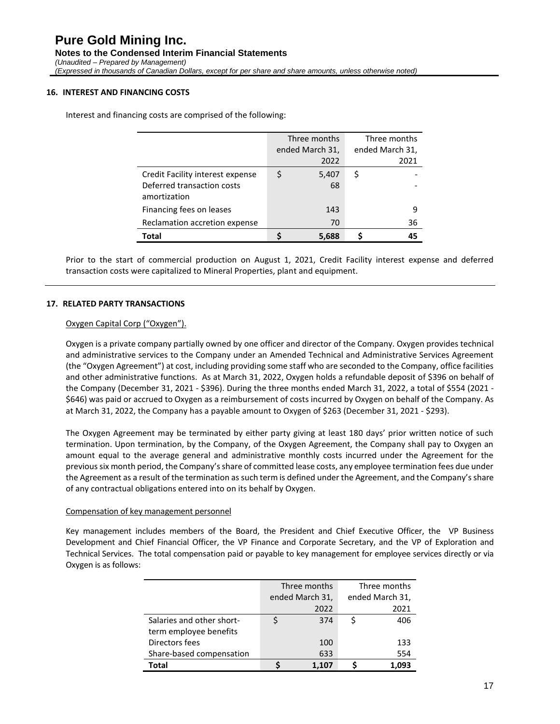#### **16. INTEREST AND FINANCING COSTS**

Interest and financing costs are comprised of the following:

|                                            |                 | Three months |  | Three months    |
|--------------------------------------------|-----------------|--------------|--|-----------------|
|                                            | ended March 31, |              |  | ended March 31, |
|                                            |                 | 2022         |  | 2021            |
| Credit Facility interest expense           |                 | 5,407        |  |                 |
| Deferred transaction costs<br>amortization |                 | 68           |  |                 |
| Financing fees on leases                   |                 | 143          |  | 9               |
| Reclamation accretion expense              |                 | 70           |  | 36              |
| Total                                      |                 | 5,688        |  | 45              |

Prior to the start of commercial production on August 1, 2021, Credit Facility interest expense and deferred transaction costs were capitalized to Mineral Properties, plant and equipment.

#### **17. RELATED PARTY TRANSACTIONS**

#### Oxygen Capital Corp ("Oxygen").

Oxygen is a private company partially owned by one officer and director of the Company. Oxygen provides technical and administrative services to the Company under an Amended Technical and Administrative Services Agreement (the "Oxygen Agreement") at cost, including providing some staff who are seconded to the Company, office facilities and other administrative functions. As at March 31, 2022, Oxygen holds a refundable deposit of \$396 on behalf of the Company (December 31, 2021 - \$396). During the three months ended March 31, 2022, a total of \$554 (2021 - \$646) was paid or accrued to Oxygen as a reimbursement of costs incurred by Oxygen on behalf of the Company. As at March 31, 2022, the Company has a payable amount to Oxygen of \$263 (December 31, 2021 - \$293).

The Oxygen Agreement may be terminated by either party giving at least 180 days' prior written notice of such termination. Upon termination, by the Company, of the Oxygen Agreement, the Company shall pay to Oxygen an amount equal to the average general and administrative monthly costs incurred under the Agreement for the previous six month period, the Company's share of committed lease costs, any employee termination fees due under the Agreement as a result of the termination as such term is defined under the Agreement, and the Company's share of any contractual obligations entered into on its behalf by Oxygen.

#### Compensation of key management personnel

Key management includes members of the Board, the President and Chief Executive Officer, the VP Business Development and Chief Financial Officer, the VP Finance and Corporate Secretary, and the VP of Exploration and Technical Services. The total compensation paid or payable to key management for employee services directly or via Oxygen is as follows:

|                           | Three months    | Three months    |
|---------------------------|-----------------|-----------------|
|                           | ended March 31, | ended March 31, |
|                           | 2022            | 2021            |
| Salaries and other short- | 374             | 406             |
| term employee benefits    |                 |                 |
| Directors fees            | 100             | 133             |
| Share-based compensation  | 633             | 554             |
| Total                     | 1.107           | 1.093           |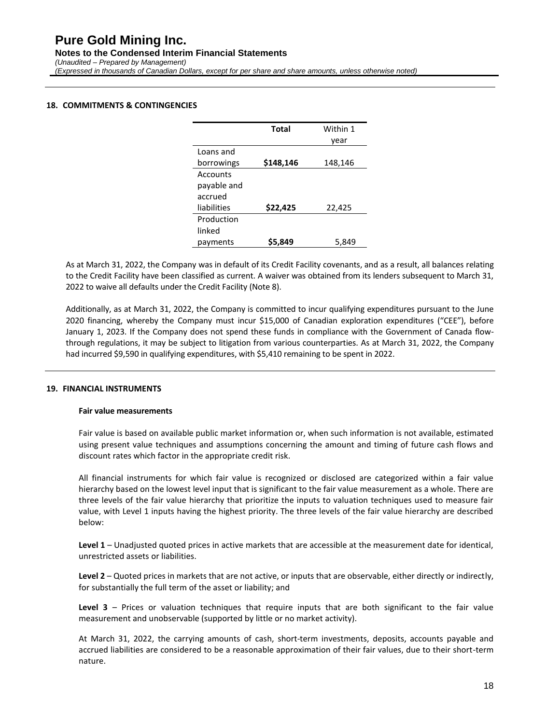### **Pure Gold Mining Inc. Notes to the Condensed Interim Financial Statements** *(Unaudited – Prepared by Management) (Expressed in thousands of Canadian Dollars, except for per share and share amounts, unless otherwise noted)*

#### **18. COMMITMENTS & CONTINGENCIES**

|             | Total     | Within 1 |
|-------------|-----------|----------|
|             |           | year     |
| Loans and   |           |          |
| borrowings  | \$148,146 | 148,146  |
| Accounts    |           |          |
| payable and |           |          |
| accrued     |           |          |
| liabilities | \$22,425  | 22,425   |
| Production  |           |          |
| linked      |           |          |
| payments    | S5.849    | 5.849    |

As at March 31, 2022, the Company was in default of its Credit Facility covenants, and as a result, all balances relating to the Credit Facility have been classified as current. A waiver was obtained from its lenders subsequent to March 31, 2022 to waive all defaults under the Credit Facility (Note 8).

Additionally, as at March 31, 2022, the Company is committed to incur qualifying expenditures pursuant to the June 2020 financing, whereby the Company must incur \$15,000 of Canadian exploration expenditures ("CEE"), before January 1, 2023. If the Company does not spend these funds in compliance with the Government of Canada flowthrough regulations, it may be subject to litigation from various counterparties. As at March 31, 2022, the Company had incurred \$9,590 in qualifying expenditures, with \$5,410 remaining to be spent in 2022.

#### **19. FINANCIAL INSTRUMENTS**

#### **Fair value measurements**

Fair value is based on available public market information or, when such information is not available, estimated using present value techniques and assumptions concerning the amount and timing of future cash flows and discount rates which factor in the appropriate credit risk.

All financial instruments for which fair value is recognized or disclosed are categorized within a fair value hierarchy based on the lowest level input that is significant to the fair value measurement as a whole. There are three levels of the fair value hierarchy that prioritize the inputs to valuation techniques used to measure fair value, with Level 1 inputs having the highest priority. The three levels of the fair value hierarchy are described below:

**Level 1** – Unadjusted quoted prices in active markets that are accessible at the measurement date for identical, unrestricted assets or liabilities.

**Level 2** – Quoted prices in markets that are not active, or inputs that are observable, either directly or indirectly, for substantially the full term of the asset or liability; and

**Level 3** – Prices or valuation techniques that require inputs that are both significant to the fair value measurement and unobservable (supported by little or no market activity).

At March 31, 2022, the carrying amounts of cash, short-term investments, deposits, accounts payable and accrued liabilities are considered to be a reasonable approximation of their fair values, due to their short-term nature.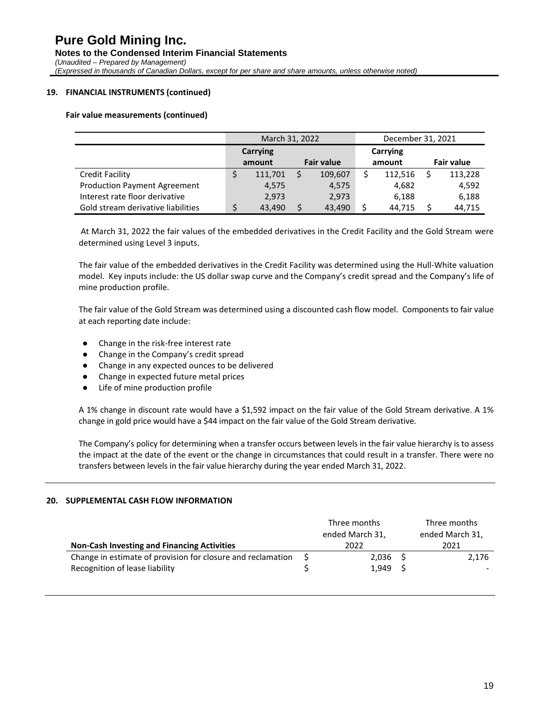#### **19. FINANCIAL INSTRUMENTS (continued)**

#### **Fair value measurements (continued)**

|                                     | March 31, 2022 |          |  | December 31, 2021 |        |          |                   |         |
|-------------------------------------|----------------|----------|--|-------------------|--------|----------|-------------------|---------|
|                                     |                | Carrying |  |                   |        | Carrying |                   |         |
|                                     |                | amount   |  | <b>Fair value</b> | amount |          | <b>Fair value</b> |         |
| Credit Facility                     |                | 111,701  |  | 109,607           |        | 112,516  |                   | 113,228 |
| <b>Production Payment Agreement</b> |                | 4,575    |  | 4,575             |        | 4,682    |                   | 4,592   |
| Interest rate floor derivative      |                | 2.973    |  | 2,973             |        | 6,188    |                   | 6,188   |
| Gold stream derivative liabilities  |                | 43,490   |  | 43,490            |        | 44.715   |                   | 44.715  |

At March 31, 2022 the fair values of the embedded derivatives in the Credit Facility and the Gold Stream were determined using Level 3 inputs.

The fair value of the embedded derivatives in the Credit Facility was determined using the Hull-White valuation model. Key inputs include: the US dollar swap curve and the Company's credit spread and the Company's life of mine production profile.

The fair value of the Gold Stream was determined using a discounted cash flow model. Components to fair value at each reporting date include:

- Change in the risk-free interest rate
- Change in the Company's credit spread
- Change in any expected ounces to be delivered
- Change in expected future metal prices
- Life of mine production profile

A 1% change in discount rate would have a \$1,592 impact on the fair value of the Gold Stream derivative. A 1% change in gold price would have a \$44 impact on the fair value of the Gold Stream derivative.

The Company's policy for determining when a transfer occurs between levels in the fair value hierarchy is to assess the impact at the date of the event or the change in circumstances that could result in a transfer. There were no transfers between levels in the fair value hierarchy during the year ended March 31, 2022.

#### **20. SUPPLEMENTAL CASH FLOW INFORMATION**

|                                                             |  | Three months<br>ended March 31, |  | Three months<br>ended March 31, |  |  |
|-------------------------------------------------------------|--|---------------------------------|--|---------------------------------|--|--|
| <b>Non-Cash Investing and Financing Activities</b>          |  | 2022                            |  | 2021                            |  |  |
| Change in estimate of provision for closure and reclamation |  | $2,036$ \$                      |  | 2,176                           |  |  |
| Recognition of lease liability                              |  | 1.949                           |  |                                 |  |  |